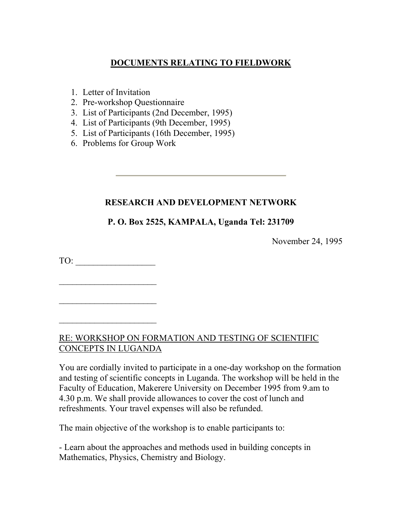# **DOCUMENTS RELATING TO FIELDWORK**

- 1. Letter of Invitation
- 2. Pre-workshop Questionnaire
- 3. List of Participants (2nd December, 1995)
- 4. List of Participants (9th December, 1995)
- 5. List of Participants (16th December, 1995)
- 6. Problems for Group Work

# **RESEARCH AND DEVELOPMENT NETWORK**

# **P. O. Box 2525, KAMPALA, Uganda Tel: 231709**

November 24, 1995

TO:

 $\mathcal{L}_\text{max}$  , where  $\mathcal{L}_\text{max}$  , we have the set of the set of the set of the set of the set of the set of the set of the set of the set of the set of the set of the set of the set of the set of the set of the set of

RE: WORKSHOP ON FORMATION AND TESTING OF SCIENTIFIC CONCEPTS IN LUGANDA

You are cordially invited to participate in a one-day workshop on the formation and testing of scientific concepts in Luganda. The workshop will be held in the Faculty of Education, Makerere University on December 1995 from 9.am to 4.30 p.m. We shall provide allowances to cover the cost of lunch and refreshments. Your travel expenses will also be refunded.

The main objective of the workshop is to enable participants to:

- Learn about the approaches and methods used in building concepts in Mathematics, Physics, Chemistry and Biology.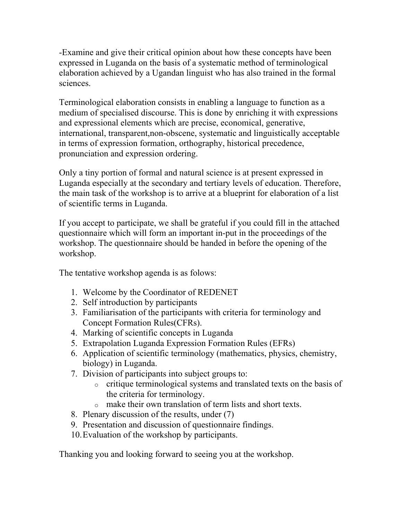-Examine and give their critical opinion about how these concepts have been expressed in Luganda on the basis of a systematic method of terminological elaboration achieved by a Ugandan linguist who has also trained in the formal sciences.

Terminological elaboration consists in enabling a language to function as a medium of specialised discourse. This is done by enriching it with expressions and expressional elements which are precise, economical, generative, international, transparent,non-obscene, systematic and linguistically acceptable in terms of expression formation, orthography, historical precedence, pronunciation and expression ordering.

Only a tiny portion of formal and natural science is at present expressed in Luganda especially at the secondary and tertiary levels of education. Therefore, the main task of the workshop is to arrive at a blueprint for elaboration of a list of scientific terms in Luganda.

If you accept to participate, we shall be grateful if you could fill in the attached questionnaire which will form an important in-put in the proceedings of the workshop. The questionnaire should be handed in before the opening of the workshop.

The tentative workshop agenda is as folows:

- 1. Welcome by the Coordinator of REDENET
- 2. Self introduction by participants
- 3. Familiarisation of the participants with criteria for terminology and Concept Formation Rules(CFRs).
- 4. Marking of scientific concepts in Luganda
- 5. Extrapolation Luganda Expression Formation Rules (EFRs)
- 6. Application of scientific terminology (mathematics, physics, chemistry, biology) in Luganda.
- 7. Division of participants into subject groups to:
	- o critique terminological systems and translated texts on the basis of the criteria for terminology.
	- o make their own translation of term lists and short texts.
- 8. Plenary discussion of the results, under (7)
- 9. Presentation and discussion of questionnaire findings.
- 10.Evaluation of the workshop by participants.

Thanking you and looking forward to seeing you at the workshop.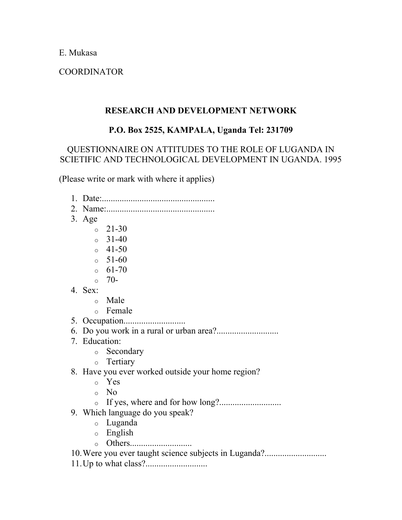E. Mukasa

COORDINATOR

## **RESEARCH AND DEVELOPMENT NETWORK**

# **P.O. Box 2525, KAMPALA, Uganda Tel: 231709**

## QUESTIONNAIRE ON ATTITUDES TO THE ROLE OF LUGANDA IN SCIETIFIC AND TECHNOLOGICAL DEVELOPMENT IN UGANDA. 1995

(Please write or mark with where it applies)

- 1. Date:...................................................
- 2. Name:.................................................
- 3. Age
	- $\degree$  21-30
	- $\degree$  31-40
	- $0 \quad 41 50$
	- $\circ$  51-60
	- $\circ$  61-70
	- $\circ$  70-
- 4. Sex:
	- o Male
	- o Female
- 5. Occupation............................
- 6. Do you work in a rural or urban area?............................
- 7. Education:
	- o Secondary
	- o Tertiary
- 8. Have you ever worked outside your home region?
	- o Yes
	- o No
	- o If yes, where and for how long?............................
- 9. Which language do you speak?
	- o Luganda
	- o English
	- o Others............................
- 10. Were you ever taught science subjects in Luganda?............................
- 11.Up to what class?............................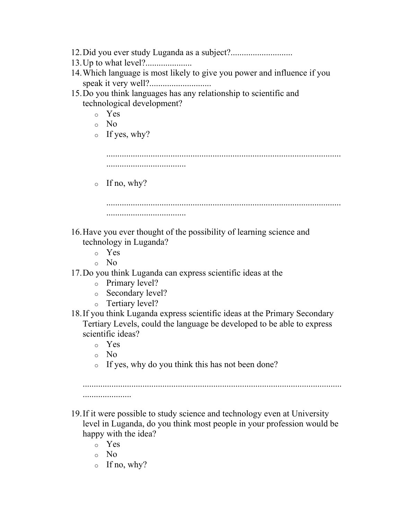- 12.Did you ever study Luganda as a subject?............................ 13.Up to what level?..................... 14.Which language is most likely to give you power and influence if you speak it very well?............................ 15.Do you think languages has any relationship to scientific and technological development? o Yes o No  $\circ$  If yes, why?  $\circ$  If no, why? .......................................................................................................... .................................... 16.Have you ever thought of the possibility of learning science and technology in Luganda? o Yes o No 17.Do you think Luganda can express scientific ideas at the
	- o Primary level?
	- o Secondary level?
	- o Tertiary level?
- 18.If you think Luganda express scientific ideas at the Primary Secondary Tertiary Levels, could the language be developed to be able to express scientific ideas?
	- o Yes
	- o No
	- o If yes, why do you think this has not been done?

......................

- 19.If it were possible to study science and technology even at University level in Luganda, do you think most people in your profession would be happy with the idea?
	- o Yes
	- o No
	- $\circ$  If no, why?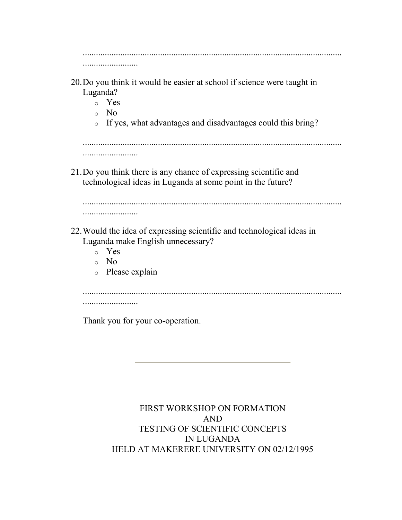| 20. Do you think it would be easier at school if science were taught in<br>Luganda?<br>Yes<br>$\circ$<br>No.<br>$\circ$<br>If yes, what advantages and disadvantages could this bring?<br>$\circ$ |
|---------------------------------------------------------------------------------------------------------------------------------------------------------------------------------------------------|
| .                                                                                                                                                                                                 |
| 21. Do you think there is any chance of expressing scientific and<br>technological ideas in Luganda at some point in the future?                                                                  |
| 22. Would the idea of expressing scientific and technological ideas in<br>Luganda make English unnecessary?<br>Yes<br>$\circ$<br>No.<br>$\circ$<br>Please explain<br>$\circ$                      |
| .<br>Thank you for your co-operation.                                                                                                                                                             |

FIRST WORKSHOP ON FORMATION AND TESTING OF SCIENTIFIC CONCEPTS IN LUGANDA HELD AT MAKERERE UNIVERSITY ON 02/12/1995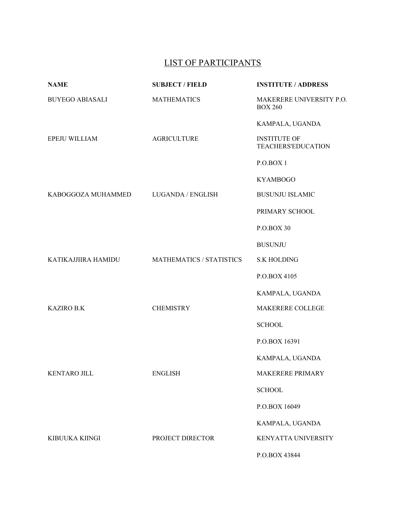# LIST OF PARTICIPANTS

| <b>NAME</b>            | <b>SUBJECT / FIELD</b>          | <b>INSTITUTE / ADDRESS</b>                       |
|------------------------|---------------------------------|--------------------------------------------------|
| <b>BUYEGO ABIASALI</b> | <b>MATHEMATICS</b>              | MAKERERE UNIVERSITY P.O.<br><b>BOX 260</b>       |
|                        |                                 | KAMPALA, UGANDA                                  |
| EPEJU WILLIAM          | <b>AGRICULTURE</b>              | <b>INSTITUTE OF</b><br><b>TEACHERS'EDUCATION</b> |
|                        |                                 | P.O.BOX 1                                        |
|                        |                                 | <b>KYAMBOGO</b>                                  |
| KABOGGOZA MUHAMMED     | LUGANDA / ENGLISH               | <b>BUSUNJU ISLAMIC</b>                           |
|                        |                                 | PRIMARY SCHOOL                                   |
|                        |                                 | P.O.BOX 30                                       |
|                        |                                 | <b>BUSUNJU</b>                                   |
| KATIKAJJIIRA HAMIDU    | <b>MATHEMATICS / STATISTICS</b> | <b>S.K HOLDING</b>                               |
|                        |                                 | P.O.BOX 4105                                     |
|                        |                                 | KAMPALA, UGANDA                                  |
| <b>KAZIRO B.K</b>      | <b>CHEMISTRY</b>                | MAKERERE COLLEGE                                 |
|                        |                                 | <b>SCHOOL</b>                                    |
|                        |                                 | P.O.BOX 16391                                    |
|                        |                                 | KAMPALA, UGANDA                                  |
| KENTARO JILL           | <b>ENGLISH</b>                  | MAKERERE PRIMARY                                 |
|                        |                                 | <b>SCHOOL</b>                                    |
|                        |                                 | P.O.BOX 16049                                    |
|                        |                                 | KAMPALA, UGANDA                                  |
| KIBUUKA KIINGI         | PROJECT DIRECTOR                | KENYATTA UNIVERSITY                              |
|                        |                                 | P.O.BOX 43844                                    |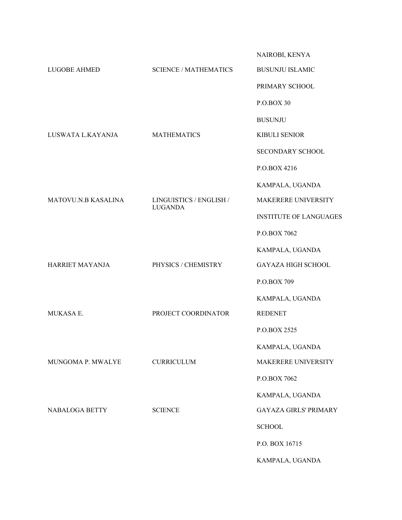|                     |                                           | NAIROBI, KENYA                |
|---------------------|-------------------------------------------|-------------------------------|
| <b>LUGOBE AHMED</b> | <b>SCIENCE / MATHEMATICS</b>              | <b>BUSUNJU ISLAMIC</b>        |
|                     |                                           | PRIMARY SCHOOL                |
|                     |                                           | P.O.BOX 30                    |
|                     |                                           | <b>BUSUNJU</b>                |
| LUSWATA L.KAYANJA   | <b>MATHEMATICS</b>                        | <b>KIBULI SENIOR</b>          |
|                     |                                           | SECONDARY SCHOOL              |
|                     |                                           | P.O.BOX 4216                  |
|                     |                                           | KAMPALA, UGANDA               |
| MATOVU.N.B KASALINA | LINGUISTICS / ENGLISH /<br><b>LUGANDA</b> | MAKERERE UNIVERSITY           |
|                     |                                           | <b>INSTITUTE OF LANGUAGES</b> |
|                     |                                           | P.O.BOX 7062                  |
|                     |                                           | KAMPALA, UGANDA               |
| HARRIET MAYANJA     | PHYSICS / CHEMISTRY                       | <b>GAYAZA HIGH SCHOOL</b>     |
|                     |                                           | P.O.BOX 709                   |
|                     |                                           | KAMPALA, UGANDA               |
| MUKASA E.           | PROJECT COORDINATOR                       | <b>REDENET</b>                |
|                     |                                           | P.O.BOX 2525                  |
|                     |                                           | KAMPALA, UGANDA               |
| MUNGOMA P. MWALYE   | <b>CURRICULUM</b>                         | MAKERERE UNIVERSITY           |
|                     |                                           | P.O.BOX 7062                  |
|                     |                                           | KAMPALA, UGANDA               |
| NABALOGA BETTY      | <b>SCIENCE</b>                            | <b>GAYAZA GIRLS' PRIMARY</b>  |
|                     |                                           | <b>SCHOOL</b>                 |
|                     |                                           | P.O. BOX 16715                |
|                     |                                           | KAMPALA, UGANDA               |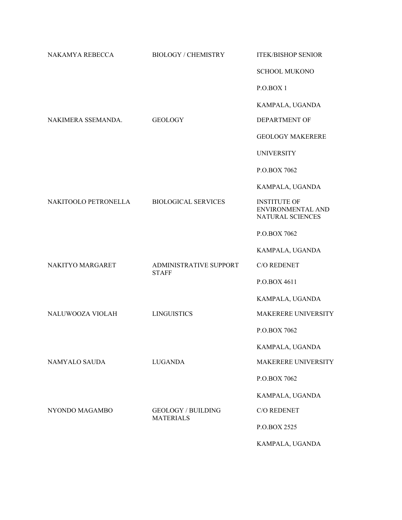| NAKAMYA REBECCA      | <b>BIOLOGY / CHEMISTRY</b>                    | <b>ITEK/BISHOP SENIOR</b>                                    |
|----------------------|-----------------------------------------------|--------------------------------------------------------------|
|                      |                                               | <b>SCHOOL MUKONO</b>                                         |
|                      |                                               | P.O.BOX1                                                     |
|                      |                                               | KAMPALA, UGANDA                                              |
| NAKIMERA SSEMANDA.   | <b>GEOLOGY</b>                                | <b>DEPARTMENT OF</b>                                         |
|                      |                                               | <b>GEOLOGY MAKERERE</b>                                      |
|                      |                                               | <b>UNIVERSITY</b>                                            |
|                      |                                               | P.O.BOX 7062                                                 |
|                      |                                               | KAMPALA, UGANDA                                              |
| NAKITOOLO PETRONELLA | <b>BIOLOGICAL SERVICES</b>                    | <b>INSTITUTE OF</b><br>ENVIRONMENTAL AND<br>NATURAL SCIENCES |
|                      |                                               | P.O.BOX 7062                                                 |
|                      |                                               | KAMPALA, UGANDA                                              |
| NAKITYO MARGARET     | <b>ADMINISTRATIVE SUPPORT</b><br><b>STAFF</b> | C/O REDENET                                                  |
|                      |                                               | P.O.BOX 4611                                                 |
|                      |                                               | KAMPALA, UGANDA                                              |
| NALUWOOZA VIOLAH     | <b>LINGUISTICS</b>                            | MAKERERE UNIVERSITY                                          |
|                      |                                               | P.O.BOX 7062                                                 |
|                      |                                               | KAMPALA, UGANDA                                              |
| NAMYALO SAUDA        | <b>LUGANDA</b>                                | MAKERERE UNIVERSITY                                          |
|                      |                                               | P.O.BOX 7062                                                 |
|                      |                                               | KAMPALA, UGANDA                                              |
| NYONDO MAGAMBO       | <b>GEOLOGY / BUILDING</b><br><b>MATERIALS</b> | C/O REDENET                                                  |
|                      |                                               | P.O.BOX 2525                                                 |
|                      |                                               | KAMPALA, UGANDA                                              |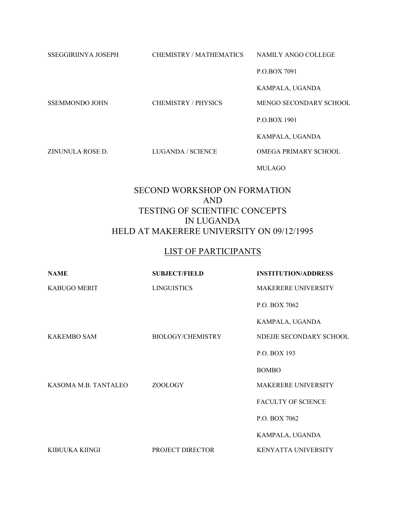SSEGGIRIINYA JOSEPH CHEMISTRY / MATHEMATICS NAMILY ANGO COLLEGE

P.O.BOX 7091

KAMPALA, UGANDA

SSEMMONDO JOHN CHEMISTRY / PHYSICS MENGO SECONDARY SCHOOL

P.O.BOX 1901

KAMPALA, UGANDA

ZINUNULA ROSE D. LUGANDA / SCIENCE OMEGA PRIMARY SCHOOL

MULAGO

#### SECOND WORKSHOP ON FORMATION AND TESTING OF SCIENTIFIC CONCEPTS IN LUGANDA HELD AT MAKERERE UNIVERSITY ON 09/12/1995

#### LIST OF PARTICIPANTS

| <b>NAME</b>          | <b>SUBJECT/FIELD</b>     | <b>INSTITUTION/ADDRESS</b> |
|----------------------|--------------------------|----------------------------|
| KABUGO MERIT         | <b>LINGUISTICS</b>       | <b>MAKERERE UNIVERSITY</b> |
|                      |                          | P.O. BOX 7062              |
|                      |                          | KAMPALA, UGANDA            |
| <b>KAKEMBO SAM</b>   | <b>BIOLOGY/CHEMISTRY</b> | NDEJJE SECONDARY SCHOOL    |
|                      |                          | P.O. BOX 193               |
|                      |                          | <b>BOMBO</b>               |
| KASOMA M.B. TANTALEO | ZOOLOGY                  | <b>MAKERERE UNIVERSITY</b> |
|                      |                          | <b>FACULTY OF SCIENCE</b>  |
|                      |                          | P.O. BOX 7062              |
|                      |                          | KAMPALA, UGANDA            |
| KIBUUKA KIINGI       | PROJECT DIRECTOR         | <b>KENYATTA UNIVERSITY</b> |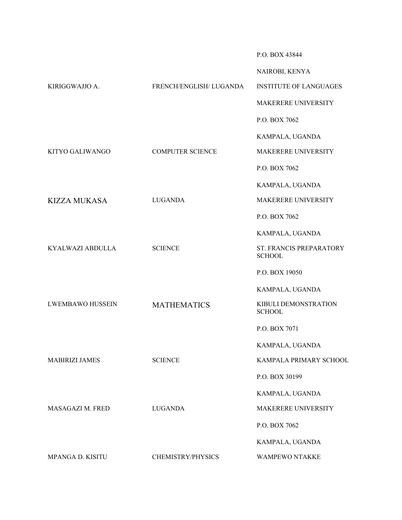P.O. BOX 43844

|                         |                         | NAIROBI, KENYA                           |
|-------------------------|-------------------------|------------------------------------------|
| KIRIGGWAJJO A.          | FRENCH/ENGLISH/ LUGANDA | <b>INSTITUTE OF LANGUAGES</b>            |
|                         |                         | MAKERERE UNIVERSITY                      |
|                         |                         | P.O. BOX 7062                            |
|                         |                         | KAMPALA, UGANDA                          |
| KITYO GALIWANGO         | <b>COMPUTER SCIENCE</b> | MAKERERE UNIVERSITY                      |
|                         |                         | P.O. BOX 7062                            |
|                         |                         | KAMPALA, UGANDA                          |
| <b>KIZZA MUKASA</b>     | <b>LUGANDA</b>          | MAKERERE UNIVERSITY                      |
|                         |                         | P.O. BOX 7062                            |
|                         |                         | KAMPALA, UGANDA                          |
| KYALWAZI ABDULLA        | <b>SCIENCE</b>          | ST. FRANCIS PREPARATORY<br><b>SCHOOL</b> |
|                         |                         | P.O. BOX 19050                           |
|                         |                         | KAMPALA, UGANDA                          |
| <b>LWEMBAWO HUSSEIN</b> | <b>MATHEMATICS</b>      | KIBULI DEMONSTRATION<br><b>SCHOOL</b>    |
|                         |                         | P.O. BOX 7071                            |
|                         |                         | KAMPALA, UGANDA                          |
| <b>MABIRIZI JAMES</b>   | <b>SCIENCE</b>          | KAMPALA PRIMARY SCHOOL                   |
|                         |                         | P.O. BOX 30199                           |
|                         |                         | KAMPALA, UGANDA                          |
| MASAGAZI M. FRED        | <b>LUGANDA</b>          | MAKERERE UNIVERSITY                      |
|                         |                         | P.O. BOX 7062                            |
|                         |                         | KAMPALA, UGANDA                          |
| MPANGA D. KISITU        | CHEMISTRY/PHYSICS       | WAMPEWO NTAKKE                           |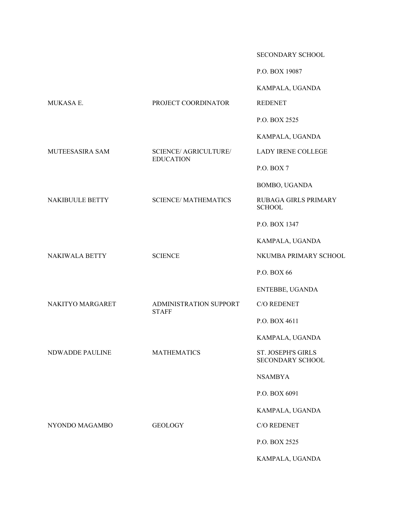SECONDARY SCHOOL

P.O. BOX 19087

KAMPALA, UGANDA

KAMPALA, UGANDA

|                  |                                                  | KAMPALA, UGANDA                               |
|------------------|--------------------------------------------------|-----------------------------------------------|
| MUKASA E.        | PROJECT COORDINATOR                              | <b>REDENET</b>                                |
|                  |                                                  | P.O. BOX 2525                                 |
|                  |                                                  | KAMPALA, UGANDA                               |
| MUTEESASIRA SAM  | <b>SCIENCE/ AGRICULTURE/</b><br><b>EDUCATION</b> | <b>LADY IRENE COLLEGE</b>                     |
|                  |                                                  | P.O. BOX 7                                    |
|                  |                                                  | BOMBO, UGANDA                                 |
| NAKIBUULE BETTY  | <b>SCIENCE/MATHEMATICS</b>                       | RUBAGA GIRLS PRIMARY<br><b>SCHOOL</b>         |
|                  |                                                  | P.O. BOX 1347                                 |
|                  |                                                  | KAMPALA, UGANDA                               |
| NAKIWALA BETTY   | <b>SCIENCE</b>                                   | NKUMBA PRIMARY SCHOOL                         |
|                  |                                                  | P.O. BOX 66                                   |
|                  |                                                  | ENTEBBE, UGANDA                               |
| NAKITYO MARGARET | ADMINISTRATION SUPPORT<br><b>STAFF</b>           | C/O REDENET                                   |
|                  |                                                  | P.O. BOX 4611                                 |
|                  |                                                  | KAMPALA, UGANDA                               |
| NDWADDE PAULINE  | <b>MATHEMATICS</b>                               | ST. JOSEPH'S GIRLS<br><b>SECONDARY SCHOOL</b> |
|                  |                                                  | <b>NSAMBYA</b>                                |
|                  |                                                  | P.O. BOX 6091                                 |
|                  |                                                  | KAMPALA, UGANDA                               |
| NYONDO MAGAMBO   | <b>GEOLOGY</b>                                   | C/O REDENET                                   |
|                  |                                                  | P.O. BOX 2525                                 |
|                  |                                                  |                                               |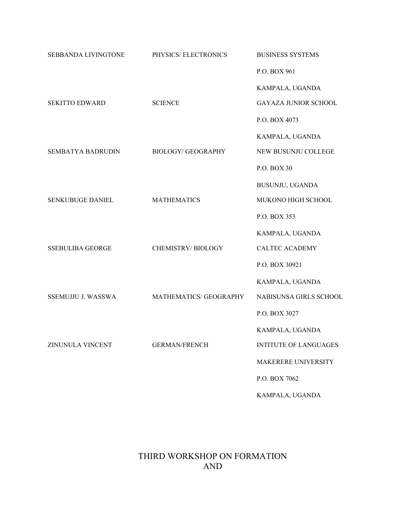| SEBBANDA LIVINGTONE      | PHYSICS/ELECTRONICS      | <b>BUSINESS SYSTEMS</b>      |
|--------------------------|--------------------------|------------------------------|
|                          |                          | P.O. BOX 961                 |
|                          |                          | KAMPALA, UGANDA              |
| <b>SEKITTO EDWARD</b>    | <b>SCIENCE</b>           | GAYAZA JUNIOR SCHOOL         |
|                          |                          | P.O. BOX 4073                |
|                          |                          | KAMPALA, UGANDA              |
| <b>SEMBATYA BADRUDIN</b> | <b>BIOLOGY/GEOGRAPHY</b> | NEW BUSUNJU COLLEGE          |
|                          |                          | P.O. BOX 30                  |
|                          |                          | BUSUNJU, UGANDA              |
| SENKUBUGE DANIEL         | <b>MATHEMATICS</b>       | MUKONO HIGH SCHOOL           |
|                          |                          | P.O. BOX 353                 |
|                          |                          | KAMPALA, UGANDA              |
| <b>SSEBULIBA GEORGE</b>  | CHEMISTRY/BIOLOGY        | <b>CALTEC ACADEMY</b>        |
|                          |                          | P.O. BOX 30921               |
|                          |                          | KAMPALA, UGANDA              |
| SSEMUJJU J. WASSWA       | MATHEMATICS/ GEOGRAPHY   | NABISUNSA GIRLS SCHOOL       |
|                          |                          | P.O. BOX 3027                |
|                          |                          | KAMPALA, UGANDA              |
| ZINUNULA VINCENT         | <b>GERMAN/FRENCH</b>     | <b>INTITUTE OF LANGUAGES</b> |
|                          |                          | MAKERERE UNIVERSITY          |
|                          |                          | P.O. BOX 7062                |
|                          |                          | KAMPALA, UGANDA              |

# THIRD WORKSHOP ON FORMATION AND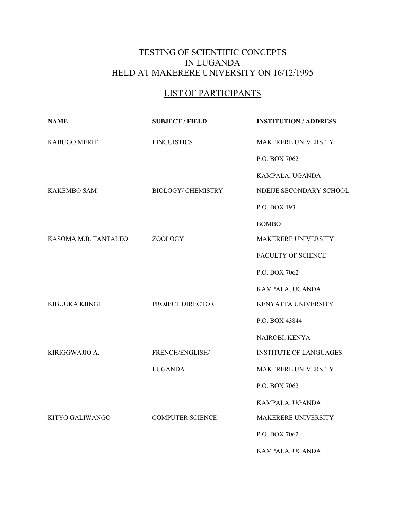# TESTING OF SCIENTIFIC CONCEPTS IN LUGANDA HELD AT MAKERERE UNIVERSITY ON 16/12/1995

# LIST OF PARTICIPANTS

| <b>NAME</b>          | <b>SUBJECT / FIELD</b>    | <b>INSTITUTION / ADDRESS</b>  |
|----------------------|---------------------------|-------------------------------|
| KABUGO MERIT         | <b>LINGUISTICS</b>        | MAKERERE UNIVERSITY           |
|                      |                           | P.O. BOX 7062                 |
|                      |                           | KAMPALA, UGANDA               |
| <b>KAKEMBO SAM</b>   | <b>BIOLOGY/ CHEMISTRY</b> | NDEJJE SECONDARY SCHOOL       |
|                      |                           | P.O. BOX 193                  |
|                      |                           | <b>BOMBO</b>                  |
| KASOMA M.B. TANTALEO | <b>ZOOLOGY</b>            | MAKERERE UNIVERSITY           |
|                      |                           | FACULTY OF SCIENCE            |
|                      |                           | P.O. BOX 7062                 |
|                      |                           | KAMPALA, UGANDA               |
| KIBUUKA KIINGI       | PROJECT DIRECTOR          | KENYATTA UNIVERSITY           |
|                      |                           | P.O. BOX 43844                |
|                      |                           | NAIROBI, KENYA                |
| KIRIGGWAJJO A.       | FRENCH/ENGLISH/           | <b>INSTITUTE OF LANGUAGES</b> |
|                      | <b>LUGANDA</b>            | MAKERERE UNIVERSITY           |
|                      |                           | P.O. BOX 7062                 |
|                      |                           | KAMPALA, UGANDA               |
| KITYO GALIWANGO      | <b>COMPUTER SCIENCE</b>   | MAKERERE UNIVERSITY           |
|                      |                           | P.O. BOX 7062                 |
|                      |                           | KAMPALA, UGANDA               |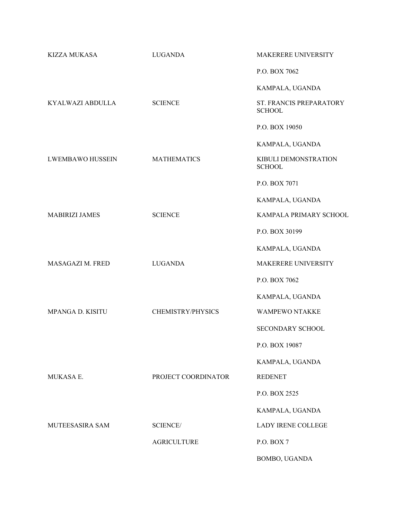| <b>KIZZA MUKASA</b>     | <b>LUGANDA</b>      | <b>MAKERERE UNIVERSITY</b>               |
|-------------------------|---------------------|------------------------------------------|
|                         |                     | P.O. BOX 7062                            |
|                         |                     | KAMPALA, UGANDA                          |
| KYALWAZI ABDULLA        | <b>SCIENCE</b>      | ST. FRANCIS PREPARATORY<br><b>SCHOOL</b> |
|                         |                     | P.O. BOX 19050                           |
|                         |                     | KAMPALA, UGANDA                          |
| <b>LWEMBAWO HUSSEIN</b> | <b>MATHEMATICS</b>  | KIBULI DEMONSTRATION<br><b>SCHOOL</b>    |
|                         |                     | P.O. BOX 7071                            |
|                         |                     | KAMPALA, UGANDA                          |
| <b>MABIRIZI JAMES</b>   | <b>SCIENCE</b>      | KAMPALA PRIMARY SCHOOL                   |
|                         |                     | P.O. BOX 30199                           |
|                         |                     | KAMPALA, UGANDA                          |
| MASAGAZI M. FRED        | <b>LUGANDA</b>      | MAKERERE UNIVERSITY                      |
|                         |                     | P.O. BOX 7062                            |
|                         |                     | KAMPALA, UGANDA                          |
| MPANGA D. KISITU        | CHEMISTRY/PHYSICS   | <b>WAMPEWO NTAKKE</b>                    |
|                         |                     | SECONDARY SCHOOL                         |
|                         |                     | P.O. BOX 19087                           |
|                         |                     | KAMPALA, UGANDA                          |
| MUKASA E.               | PROJECT COORDINATOR | <b>REDENET</b>                           |
|                         |                     | P.O. BOX 2525                            |
|                         |                     | KAMPALA, UGANDA                          |
| MUTEESASIRA SAM         | <b>SCIENCE/</b>     | <b>LADY IRENE COLLEGE</b>                |
|                         | <b>AGRICULTURE</b>  | P.O. BOX 7                               |
|                         |                     | BOMBO, UGANDA                            |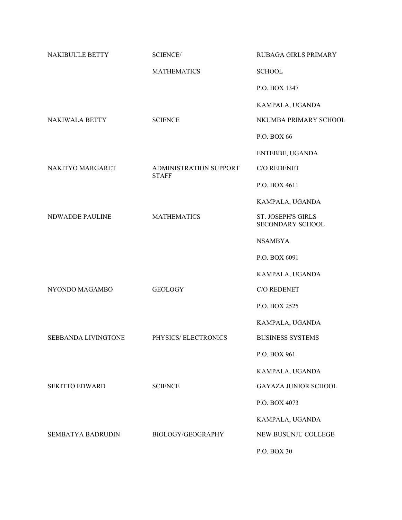| NAKIBUULE BETTY        | <b>SCIENCE/</b>                        | <b>RUBAGA GIRLS PRIMARY</b>                          |
|------------------------|----------------------------------------|------------------------------------------------------|
|                        | <b>MATHEMATICS</b>                     | <b>SCHOOL</b>                                        |
|                        |                                        | P.O. BOX 1347                                        |
|                        |                                        | KAMPALA, UGANDA                                      |
| NAKIWALA BETTY         | <b>SCIENCE</b>                         | NKUMBA PRIMARY SCHOOL                                |
|                        |                                        | P.O. BOX 66                                          |
|                        |                                        | ENTEBBE, UGANDA                                      |
| NAKITYO MARGARET       | ADMINISTRATION SUPPORT<br><b>STAFF</b> | C/O REDENET                                          |
|                        |                                        | P.O. BOX 4611                                        |
|                        |                                        | KAMPALA, UGANDA                                      |
| <b>NDWADDE PAULINE</b> | <b>MATHEMATICS</b>                     | <b>ST. JOSEPH'S GIRLS</b><br><b>SECONDARY SCHOOL</b> |
|                        |                                        | <b>NSAMBYA</b>                                       |
|                        |                                        | P.O. BOX 6091                                        |
|                        |                                        | KAMPALA, UGANDA                                      |
| NYONDO MAGAMBO         | <b>GEOLOGY</b>                         | C/O REDENET                                          |
|                        |                                        | P.O. BOX 2525                                        |
|                        |                                        | KAMPALA, UGANDA                                      |
| SEBBANDA LIVINGTONE    | PHYSICS/ELECTRONICS                    | <b>BUSINESS SYSTEMS</b>                              |
|                        |                                        | P.O. BOX 961                                         |
|                        |                                        | KAMPALA, UGANDA                                      |
| <b>SEKITTO EDWARD</b>  | <b>SCIENCE</b>                         | <b>GAYAZA JUNIOR SCHOOL</b>                          |
|                        |                                        | P.O. BOX 4073                                        |
|                        |                                        | KAMPALA, UGANDA                                      |
| SEMBATYA BADRUDIN      | BIOLOGY/GEOGRAPHY                      | NEW BUSUNJU COLLEGE                                  |
|                        |                                        | P.O. BOX 30                                          |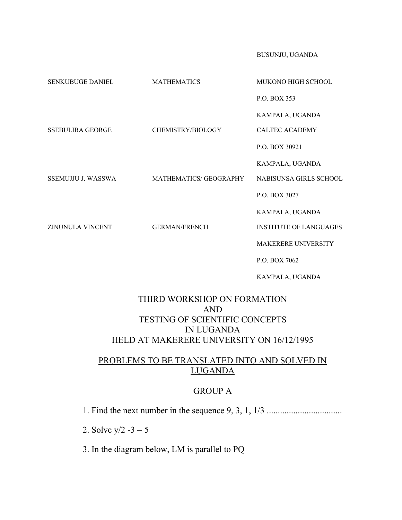BUSUNJU, UGANDA

| SENKUBUGE DANIEL        | <b>MATHEMATICS</b>     | MUKONO HIGH SCHOOL            |
|-------------------------|------------------------|-------------------------------|
|                         |                        | P.O. BOX 353                  |
|                         |                        | KAMPALA, UGANDA               |
| <b>SSEBULIBA GEORGE</b> | CHEMISTRY/BIOLOGY      | <b>CALTEC ACADEMY</b>         |
|                         |                        | P.O. BOX 30921                |
|                         |                        | KAMPALA, UGANDA               |
| SSEMUJJU J. WASSWA      | MATHEMATICS/ GEOGRAPHY | NABISUNSA GIRLS SCHOOL        |
|                         |                        | P.O. BOX 3027                 |
|                         |                        | KAMPALA, UGANDA               |
| ZINUNULA VINCENT        | <b>GERMAN/FRENCH</b>   | <b>INSTITUTE OF LANGUAGES</b> |
|                         |                        | <b>MAKERERE UNIVERSITY</b>    |
|                         |                        | P.O. BOX 7062                 |
|                         |                        | KAMPALA, UGANDA               |

## THIRD WORKSHOP ON FORMATION AND TESTING OF SCIENTIFIC CONCEPTS IN LUGANDA HELD AT MAKERERE UNIVERSITY ON 16/12/1995

# PROBLEMS TO BE TRANSLATED INTO AND SOLVED IN LUGANDA

#### GROUP A

1. Find the next number in the sequence 9, 3, 1, 1/3 ..................................

2. Solve  $y/2 - 3 = 5$ 

3. In the diagram below, LM is parallel to PQ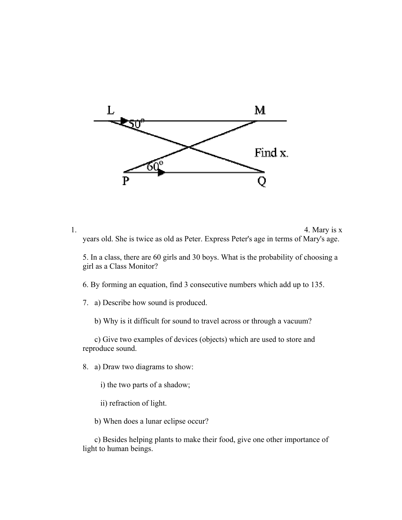

1.  $4.$  Mary is x years old. She is twice as old as Peter. Express Peter's age in terms of Mary's age.

5. In a class, there are 60 girls and 30 boys. What is the probability of choosing a girl as a Class Monitor?

6. By forming an equation, find 3 consecutive numbers which add up to 135.

7. a) Describe how sound is produced.

b) Why is it difficult for sound to travel across or through a vacuum?

 c) Give two examples of devices (objects) which are used to store and reproduce sound.

8. a) Draw two diagrams to show:

i) the two parts of a shadow;

ii) refraction of light.

b) When does a lunar eclipse occur?

 c) Besides helping plants to make their food, give one other importance of light to human beings.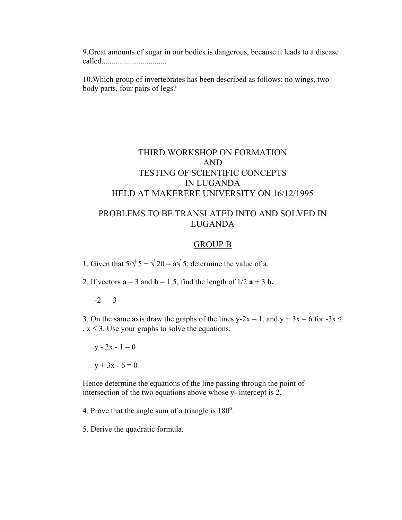9.Great amounts of sugar in our bodies is dangerous, because it leads to a disease called.................................

10.Which group of invertebrates has been described as follows: no wings, two body parts, four pairs of legs?

#### THIRD WORKSHOP ON FORMATION AND TESTING OF SCIENTIFIC CONCEPTS IN LUGANDA HELD AT MAKERERE UNIVERSITY ON 16/12/1995

#### PROBLEMS TO BE TRANSLATED INTO AND SOLVED IN LUGANDA

#### GROUP B

1. Given that  $5/\sqrt{5} + \sqrt{20} = a\sqrt{5}$ , determine the value of a.

2. If vectors  $\mathbf{a} = 3$  and  $\mathbf{b} = 1.5$ , find the length of  $1/2$   $\mathbf{a} + 3$   $\mathbf{b}$ .

-2 3

3. On the same axis draw the graphs of the lines y-2x = 1, and y + 3x = 6 for -3x  $\le$  $x \leq 3$ . Use your graphs to solve the equations:

 $y - 2x - 1 = 0$  $y + 3x - 6 = 0$ 

Hence determine the equations of the line passing through the point of intersection of the two equations above whose y- intercept is 2.

4. Prove that the angle sum of a triangle is  $180^\circ$ .

5. Derive the quadratic formula.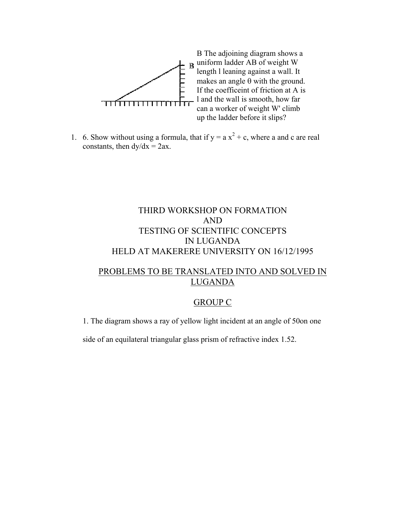

1. 6. Show without using a formula, that if  $y = a x^2 + c$ , where a and c are real constants, then  $dy/dx = 2ax$ .

## THIRD WORKSHOP ON FORMATION AND TESTING OF SCIENTIFIC CONCEPTS IN LUGANDA HELD AT MAKERERE UNIVERSITY ON 16/12/1995

#### PROBLEMS TO BE TRANSLATED INTO AND SOLVED IN LUGANDA

#### GROUP C

1. The diagram shows a ray of yellow light incident at an angle of 50on one

side of an equilateral triangular glass prism of refractive index 1.52.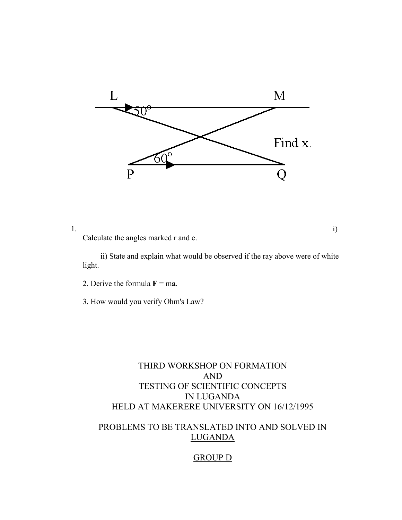

1.  $i)$ 

Calculate the angles marked r and e.

 ii) State and explain what would be observed if the ray above were of white light.

2. Derive the formula  $\mathbf{F} = \mathbf{ma}$ .

3. How would you verify Ohm's Law?

# THIRD WORKSHOP ON FORMATION AND TESTING OF SCIENTIFIC CONCEPTS IN LUGANDA HELD AT MAKERERE UNIVERSITY ON 16/12/1995

# PROBLEMS TO BE TRANSLATED INTO AND SOLVED IN LUGANDA

#### GROUP D